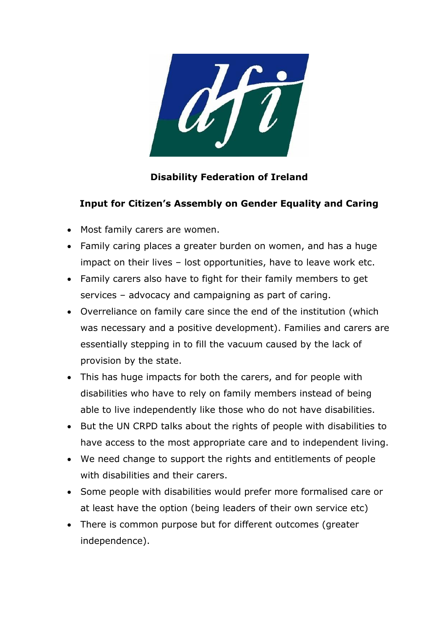

## **Disability Federation of Ireland**

## **Input for Citizen's Assembly on Gender Equality and Caring**

- Most family carers are women.
- Family caring places a greater burden on women, and has a huge impact on their lives – lost opportunities, have to leave work etc.
- Family carers also have to fight for their family members to get services – advocacy and campaigning as part of caring.
- Overreliance on family care since the end of the institution (which was necessary and a positive development). Families and carers are essentially stepping in to fill the vacuum caused by the lack of provision by the state.
- This has huge impacts for both the carers, and for people with disabilities who have to rely on family members instead of being able to live independently like those who do not have disabilities.
- But the UN CRPD talks about the rights of people with disabilities to have access to the most appropriate care and to independent living.
- We need change to support the rights and entitlements of people with disabilities and their carers.
- Some people with disabilities would prefer more formalised care or at least have the option (being leaders of their own service etc)
- There is common purpose but for different outcomes (greater independence).